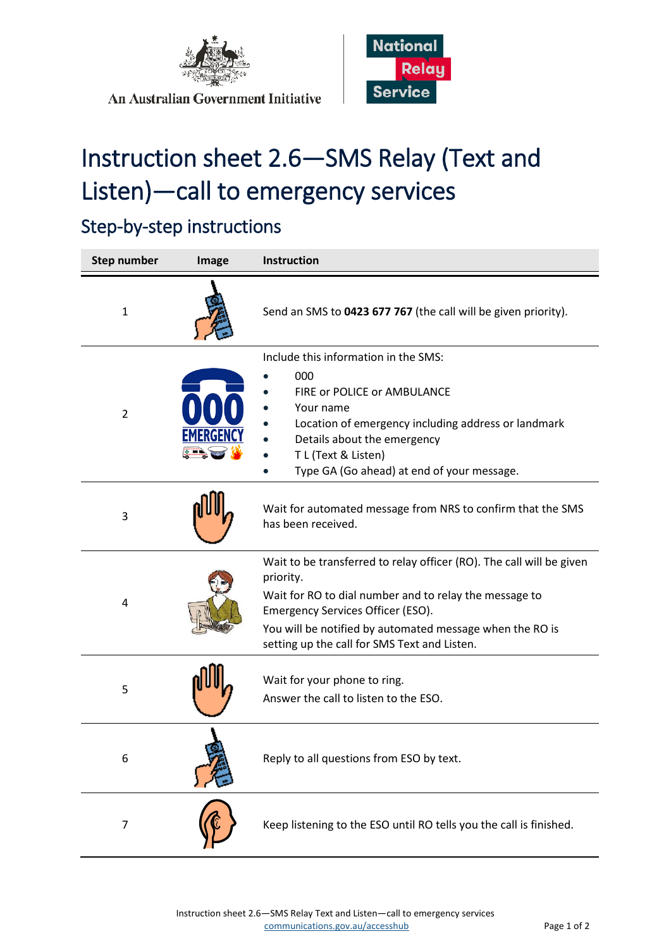

**An Australian Government Initiative** 



## Instruction sheet 2.6—SMS Relay (Text and Listen)—call to emergency services

## Step-by-step instructions

| <b>Step number</b> | Image | <b>Instruction</b>                                                                                                                                                                                                                                                                           |
|--------------------|-------|----------------------------------------------------------------------------------------------------------------------------------------------------------------------------------------------------------------------------------------------------------------------------------------------|
| $\mathbf{1}$       |       | Send an SMS to 0423 677 767 (the call will be given priority).                                                                                                                                                                                                                               |
| $\overline{2}$     |       | Include this information in the SMS:<br>000<br>FIRE or POLICE or AMBULANCE<br>Your name<br>Location of emergency including address or landmark<br>Details about the emergency<br>T L (Text & Listen)<br>Type GA (Go ahead) at end of your message.                                           |
| 3                  |       | Wait for automated message from NRS to confirm that the SMS<br>has been received.                                                                                                                                                                                                            |
| 4                  |       | Wait to be transferred to relay officer (RO). The call will be given<br>priority.<br>Wait for RO to dial number and to relay the message to<br>Emergency Services Officer (ESO).<br>You will be notified by automated message when the RO is<br>setting up the call for SMS Text and Listen. |
| 5                  |       | Wait for your phone to ring.<br>Answer the call to listen to the ESO.                                                                                                                                                                                                                        |
| 6                  |       | Reply to all questions from ESO by text.                                                                                                                                                                                                                                                     |
| $\overline{7}$     |       | Keep listening to the ESO until RO tells you the call is finished.                                                                                                                                                                                                                           |